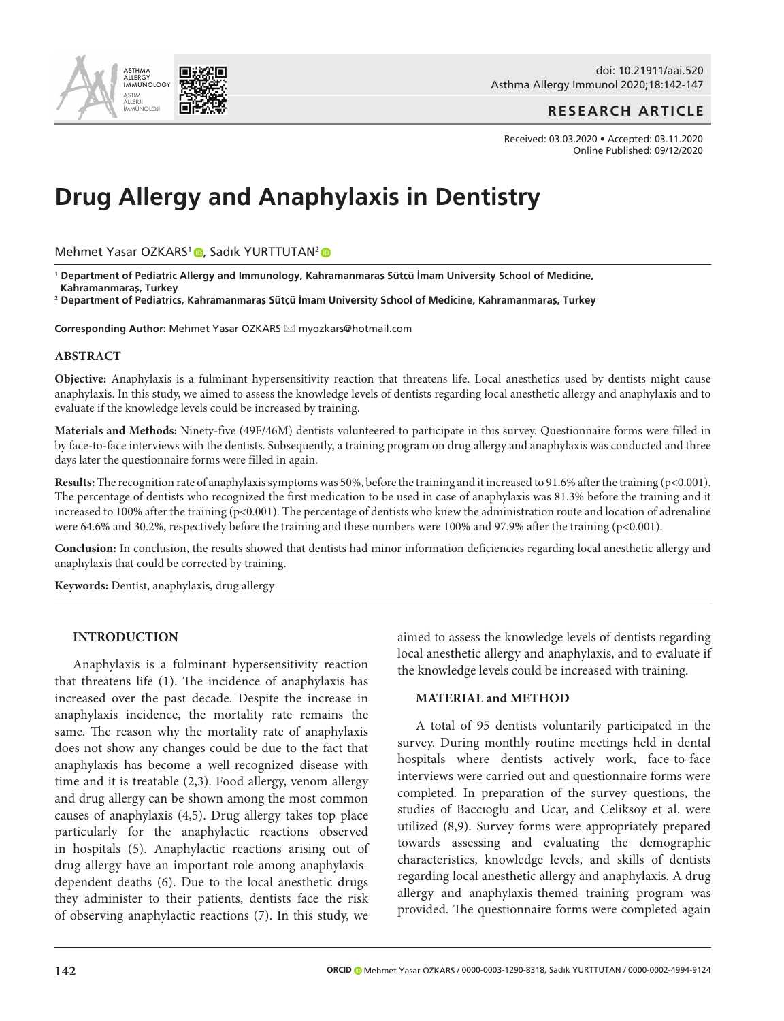

doi: 10.21911/aai.520 Asthma Allergy Immunol 2020;18:142-147

# **RESEARCH ARTICLE**

Received: 03.03.2020 • Accepted: 03.11.2020 Online Published: 09/12/2020

# **Drug Allergy and Anaphylaxis in Dentistry**

Mehmet Yasar OZKARS<sup>1</sup> [,](http://orcid.org/0000-0003-1290-8318) Sadık YURTTUTAN<sup>2</sup>

<sup>1</sup> **Department of Pediatric Allergy and Immunology, Kahramanmaraş Sütçü İmam University School of Medicine, Kahramanmaraş, Turkey**

<sup>2</sup> **Department of Pediatrics, Kahramanmaraş Sütçü İmam University School of Medicine, Kahramanmaraş, Turkey**

Corresponding Author: Mehmet Yasar OZKARS ⊠ myozkars@hotmail.com

#### **ABSTRACT**

**Objective:** Anaphylaxis is a fulminant hypersensitivity reaction that threatens life. Local anesthetics used by dentists might cause anaphylaxis. In this study, we aimed to assess the knowledge levels of dentists regarding local anesthetic allergy and anaphylaxis and to evaluate if the knowledge levels could be increased by training.

**Materials and Methods:** Ninety-five (49F/46M) dentists volunteered to participate in this survey. Questionnaire forms were filled in by face-to-face interviews with the dentists. Subsequently, a training program on drug allergy and anaphylaxis was conducted and three days later the questionnaire forms were filled in again.

**Results:** The recognition rate of anaphylaxis symptoms was 50%, before the training and it increased to 91.6% after the training (p<0.001). The percentage of dentists who recognized the first medication to be used in case of anaphylaxis was 81.3% before the training and it increased to 100% after the training  $(p<0.001)$ . The percentage of dentists who knew the administration route and location of adrenaline were 64.6% and 30.2%, respectively before the training and these numbers were 100% and 97.9% after the training (p<0.001).

**Conclusion:** In conclusion, the results showed that dentists had minor information deficiencies regarding local anesthetic allergy and anaphylaxis that could be corrected by training.

**Keywords:** Dentist, anaphylaxis, drug allergy

#### **INTRODUCTION**

Anaphylaxis is a fulminant hypersensitivity reaction that threatens life (1). The incidence of anaphylaxis has increased over the past decade. Despite the increase in anaphylaxis incidence, the mortality rate remains the same. The reason why the mortality rate of anaphylaxis does not show any changes could be due to the fact that anaphylaxis has become a well-recognized disease with time and it is treatable (2,3). Food allergy, venom allergy and drug allergy can be shown among the most common causes of anaphylaxis (4,5). Drug allergy takes top place particularly for the anaphylactic reactions observed in hospitals (5). Anaphylactic reactions arising out of drug allergy have an important role among anaphylaxisdependent deaths (6). Due to the local anesthetic drugs they administer to their patients, dentists face the risk of observing anaphylactic reactions (7). In this study, we aimed to assess the knowledge levels of dentists regarding local anesthetic allergy and anaphylaxis, and to evaluate if the knowledge levels could be increased with training.

# **MATERIAL and METHOD**

A total of 95 dentists voluntarily participated in the survey. During monthly routine meetings held in dental hospitals where dentists actively work, face-to-face interviews were carried out and questionnaire forms were completed. In preparation of the survey questions, the studies of Baccıoglu and Ucar, and Celiksoy et al. were utilized (8,9). Survey forms were appropriately prepared towards assessing and evaluating the demographic characteristics, knowledge levels, and skills of dentists regarding local anesthetic allergy and anaphylaxis. A drug allergy and anaphylaxis-themed training program was provided. The questionnaire forms were completed again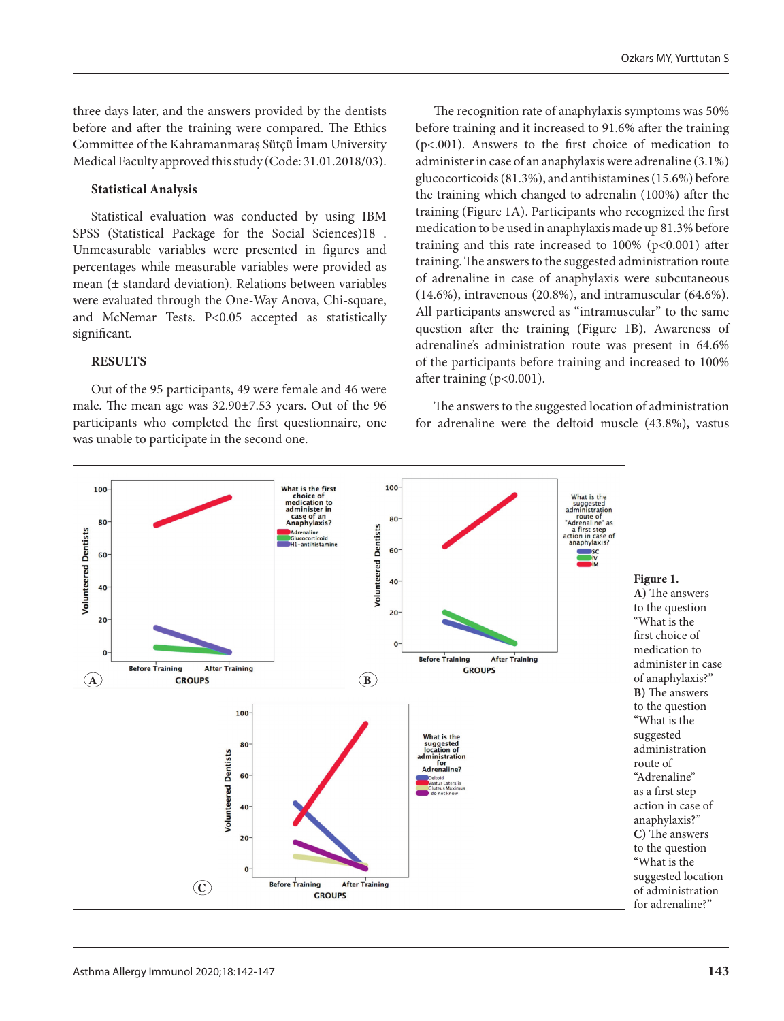three days later, and the answers provided by the dentists before and after the training were compared. The Ethics Committee of the Kahramanmaraş Sütçü İmam University Medical Faculty approved this study (Code: 31.01.2018/03).

#### **Statistical Analysis**

Statistical evaluation was conducted by using IBM SPSS (Statistical Package for the Social Sciences)18 . Unmeasurable variables were presented in figures and percentages while measurable variables were provided as mean (± standard deviation). Relations between variables were evaluated through the One-Way Anova, Chi-square, and McNemar Tests. P<0.05 accepted as statistically significant.

### **RESULTS**

Out of the 95 participants, 49 were female and 46 were male. The mean age was 32.90±7.53 years. Out of the 96 participants who completed the first questionnaire, one was unable to participate in the second one.

The recognition rate of anaphylaxis symptoms was 50% before training and it increased to 91.6% after the training (p<.001). Answers to the first choice of medication to administer in case of an anaphylaxis were adrenaline (3.1%) glucocorticoids (81.3%), and antihistamines (15.6%) before the training which changed to adrenalin (100%) after the training (Figure 1A). Participants who recognized the first medication to be used in anaphylaxis made up 81.3% before training and this rate increased to 100% (p<0.001) after training. The answers to the suggested administration route of adrenaline in case of anaphylaxis were subcutaneous (14.6%), intravenous (20.8%), and intramuscular (64.6%). All participants answered as "intramuscular" to the same question after the training (Figure 1B). Awareness of adrenaline's administration route was present in 64.6% of the participants before training and increased to 100% after training (p<0.001).

The answers to the suggested location of administration for adrenaline were the deltoid muscle (43.8%), vastus

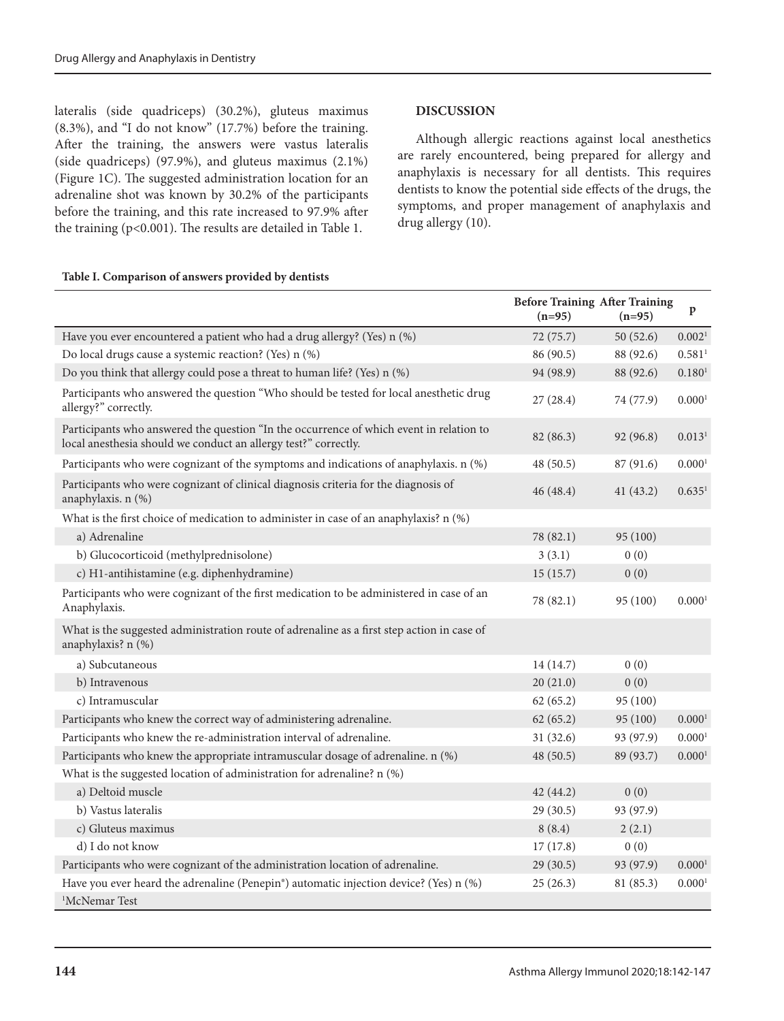lateralis (side quadriceps) (30.2%), gluteus maximus (8.3%), and "I do not know" (17.7%) before the training. After the training, the answers were vastus lateralis (side quadriceps) (97.9%), and gluteus maximus (2.1%) (Figure 1C). The suggested administration location for an adrenaline shot was known by 30.2% of the participants before the training, and this rate increased to 97.9% after the training (p<0.001). The results are detailed in Table 1.

# **Table I. Comparison of answers provided by dentists**

#### **DISCUSSION**

Although allergic reactions against local anesthetics are rarely encountered, being prepared for allergy and anaphylaxis is necessary for all dentists. This requires dentists to know the potential side effects of the drugs, the symptoms, and proper management of anaphylaxis and drug allergy (10).

|                                                                                                                                                            | <b>Before Training After Training</b><br>$(n=95)$ | $(n=95)$  | $\, {\bf p}$       |
|------------------------------------------------------------------------------------------------------------------------------------------------------------|---------------------------------------------------|-----------|--------------------|
| Have you ever encountered a patient who had a drug allergy? (Yes) n (%)                                                                                    | 72 (75.7)                                         | 50(52.6)  | 0.002 <sup>1</sup> |
| Do local drugs cause a systemic reaction? (Yes) n (%)                                                                                                      | 86 (90.5)                                         | 88 (92.6) | 0.581 <sup>1</sup> |
| Do you think that allergy could pose a threat to human life? (Yes) n (%)                                                                                   | 94 (98.9)                                         | 88 (92.6) | 0.180 <sup>1</sup> |
| Participants who answered the question "Who should be tested for local anesthetic drug<br>allergy?" correctly.                                             | 27(28.4)                                          | 74 (77.9) | 0.000 <sup>1</sup> |
| Participants who answered the question "In the occurrence of which event in relation to<br>local anesthesia should we conduct an allergy test?" correctly. | 82 (86.3)                                         | 92 (96.8) | 0.013 <sup>1</sup> |
| Participants who were cognizant of the symptoms and indications of anaphylaxis. n (%)                                                                      | 48(50.5)                                          | 87(91.6)  | 0.0001             |
| Participants who were cognizant of clinical diagnosis criteria for the diagnosis of<br>anaphylaxis. n (%)                                                  | 46(48.4)                                          | 41(43.2)  | 0.635 <sup>1</sup> |
| What is the first choice of medication to administer in case of an anaphylaxis? n (%)                                                                      |                                                   |           |                    |
| a) Adrenaline                                                                                                                                              | 78 (82.1)                                         | 95(100)   |                    |
| b) Glucocorticoid (methylprednisolone)                                                                                                                     | 3(3.1)                                            | 0(0)      |                    |
| c) H1-antihistamine (e.g. diphenhydramine)                                                                                                                 | 15(15.7)                                          | 0(0)      |                    |
| Participants who were cognizant of the first medication to be administered in case of an<br>Anaphylaxis.                                                   | 78 (82.1)                                         | 95 (100)  | 0.0001             |
| What is the suggested administration route of adrenaline as a first step action in case of<br>anaphylaxis? n (%)                                           |                                                   |           |                    |
| a) Subcutaneous                                                                                                                                            | 14 (14.7)                                         | 0(0)      |                    |
| b) Intravenous                                                                                                                                             | 20(21.0)                                          | 0(0)      |                    |
| c) Intramuscular                                                                                                                                           | 62(65.2)                                          | 95 (100)  |                    |
| Participants who knew the correct way of administering adrenaline.                                                                                         | 62(65.2)                                          | 95 (100)  | 0.0001             |
| Participants who knew the re-administration interval of adrenaline.                                                                                        | 31(32.6)                                          | 93 (97.9) | 0.0001             |
| Participants who knew the appropriate intramuscular dosage of adrenaline. n (%)                                                                            | 48 (50.5)                                         | 89 (93.7) | 0.0001             |
| What is the suggested location of administration for adrenaline? n (%)                                                                                     |                                                   |           |                    |
| a) Deltoid muscle                                                                                                                                          | 42(44.2)                                          | 0(0)      |                    |
| b) Vastus lateralis                                                                                                                                        | 29(30.5)                                          | 93 (97.9) |                    |
| c) Gluteus maximus                                                                                                                                         | 8(8.4)                                            | 2(2.1)    |                    |
| d) I do not know                                                                                                                                           | 17(17.8)                                          | 0(0)      |                    |
| Participants who were cognizant of the administration location of adrenaline.                                                                              | 29(30.5)                                          | 93 (97.9) | 0.000 <sup>1</sup> |
| Have you ever heard the adrenaline (Penepin <sup>®</sup> ) automatic injection device? (Yes) n (%)                                                         | 25(26.3)                                          | 81 (85.3) | 0.000 <sup>1</sup> |
| <sup>1</sup> McNemar Test                                                                                                                                  |                                                   |           |                    |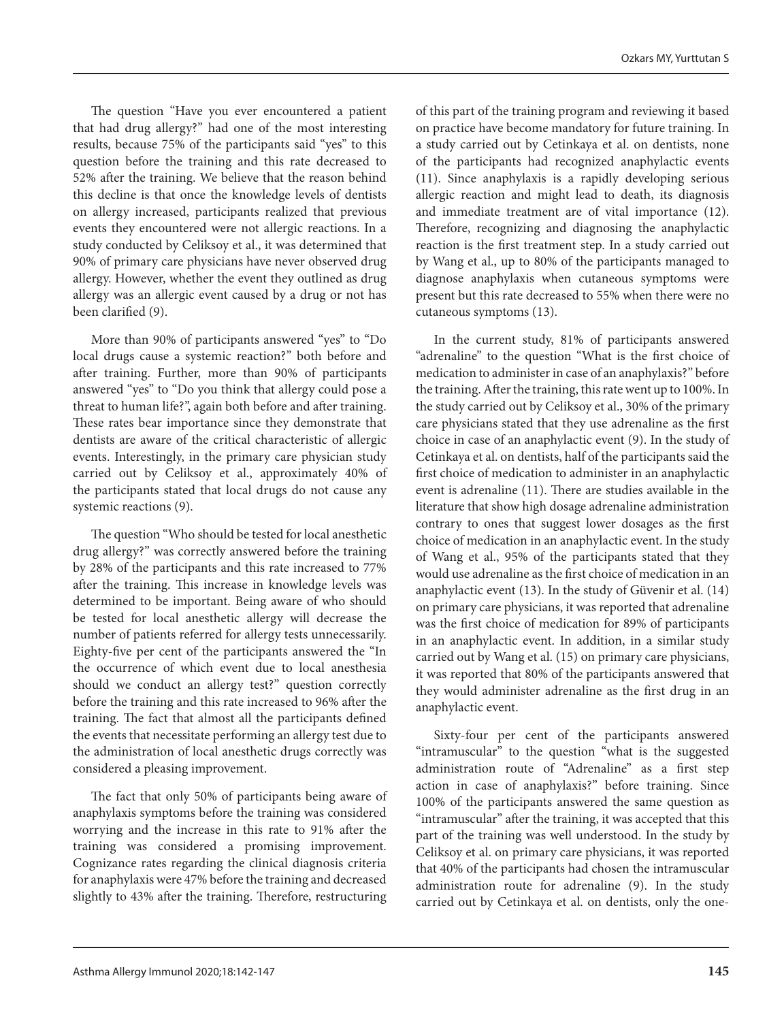The question "Have you ever encountered a patient that had drug allergy?" had one of the most interesting results, because 75% of the participants said "yes" to this question before the training and this rate decreased to 52% after the training. We believe that the reason behind this decline is that once the knowledge levels of dentists on allergy increased, participants realized that previous events they encountered were not allergic reactions. In a study conducted by Celiksoy et al., it was determined that 90% of primary care physicians have never observed drug allergy. However, whether the event they outlined as drug allergy was an allergic event caused by a drug or not has been clarified (9).

More than 90% of participants answered "yes" to "Do local drugs cause a systemic reaction?" both before and after training. Further, more than 90% of participants answered "yes" to "Do you think that allergy could pose a threat to human life?", again both before and after training. These rates bear importance since they demonstrate that dentists are aware of the critical characteristic of allergic events. Interestingly, in the primary care physician study carried out by Celiksoy et al., approximately 40% of the participants stated that local drugs do not cause any systemic reactions (9).

The question "Who should be tested for local anesthetic drug allergy?" was correctly answered before the training by 28% of the participants and this rate increased to 77% after the training. This increase in knowledge levels was determined to be important. Being aware of who should be tested for local anesthetic allergy will decrease the number of patients referred for allergy tests unnecessarily. Eighty-five per cent of the participants answered the "In the occurrence of which event due to local anesthesia should we conduct an allergy test?" question correctly before the training and this rate increased to 96% after the training. The fact that almost all the participants defined the events that necessitate performing an allergy test due to the administration of local anesthetic drugs correctly was considered a pleasing improvement.

The fact that only 50% of participants being aware of anaphylaxis symptoms before the training was considered worrying and the increase in this rate to 91% after the training was considered a promising improvement. Cognizance rates regarding the clinical diagnosis criteria for anaphylaxis were 47% before the training and decreased slightly to 43% after the training. Therefore, restructuring

of this part of the training program and reviewing it based on practice have become mandatory for future training. In a study carried out by Cetinkaya et al. on dentists, none of the participants had recognized anaphylactic events (11). Since anaphylaxis is a rapidly developing serious allergic reaction and might lead to death, its diagnosis and immediate treatment are of vital importance (12). Therefore, recognizing and diagnosing the anaphylactic reaction is the first treatment step. In a study carried out by Wang et al., up to 80% of the participants managed to diagnose anaphylaxis when cutaneous symptoms were present but this rate decreased to 55% when there were no cutaneous symptoms (13).

In the current study, 81% of participants answered "adrenaline" to the question "What is the first choice of medication to administer in case of an anaphylaxis?" before the training. After the training, this rate went up to 100%. In the study carried out by Celiksoy et al., 30% of the primary care physicians stated that they use adrenaline as the first choice in case of an anaphylactic event (9). In the study of Cetinkaya et al. on dentists, half of the participants said the first choice of medication to administer in an anaphylactic event is adrenaline (11). There are studies available in the literature that show high dosage adrenaline administration contrary to ones that suggest lower dosages as the first choice of medication in an anaphylactic event. In the study of Wang et al., 95% of the participants stated that they would use adrenaline as the first choice of medication in an anaphylactic event (13). In the study of Güvenir et al. (14) on primary care physicians, it was reported that adrenaline was the first choice of medication for 89% of participants in an anaphylactic event. In addition, in a similar study carried out by Wang et al. (15) on primary care physicians, it was reported that 80% of the participants answered that they would administer adrenaline as the first drug in an anaphylactic event.

Sixty-four per cent of the participants answered "intramuscular" to the question "what is the suggested administration route of "Adrenaline" as a first step action in case of anaphylaxis?" before training. Since 100% of the participants answered the same question as "intramuscular" after the training, it was accepted that this part of the training was well understood. In the study by Celiksoy et al. on primary care physicians, it was reported that 40% of the participants had chosen the intramuscular administration route for adrenaline (9). In the study carried out by Cetinkaya et al. on dentists, only the one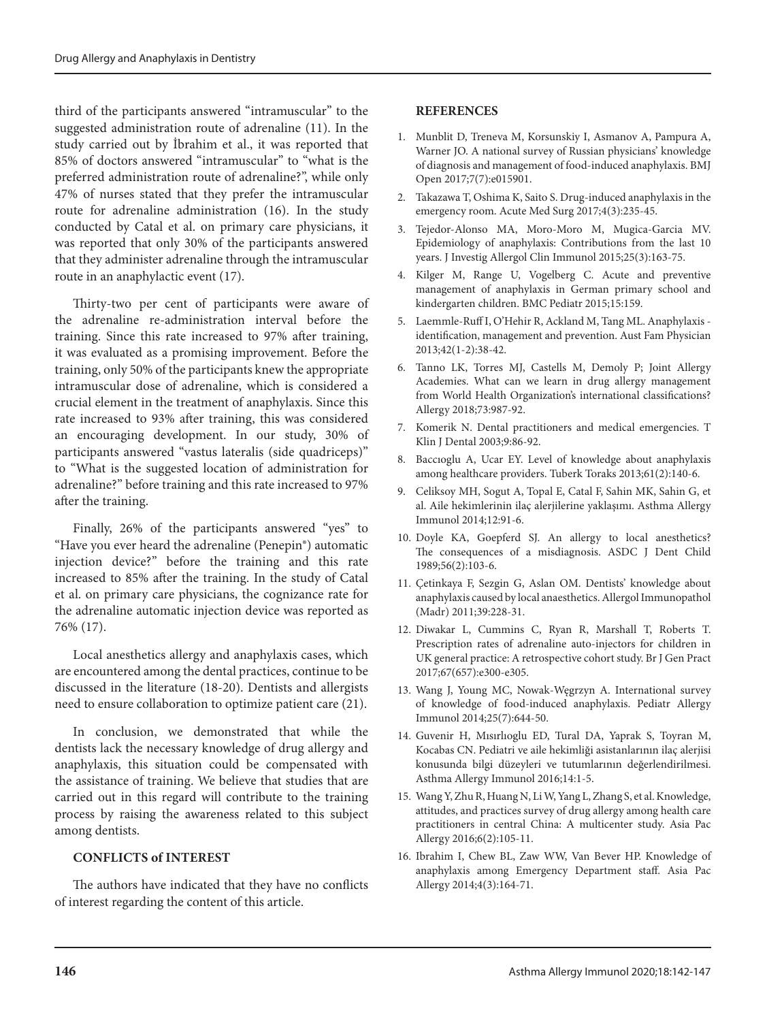third of the participants answered "intramuscular" to the suggested administration route of adrenaline (11). In the study carried out by İbrahim et al., it was reported that 85% of doctors answered "intramuscular" to "what is the preferred administration route of adrenaline?", while only 47% of nurses stated that they prefer the intramuscular route for adrenaline administration (16). In the study conducted by Catal et al. on primary care physicians, it was reported that only 30% of the participants answered that they administer adrenaline through the intramuscular route in an anaphylactic event (17).

Thirty-two per cent of participants were aware of the adrenaline re-administration interval before the training. Since this rate increased to 97% after training, it was evaluated as a promising improvement. Before the training, only 50% of the participants knew the appropriate intramuscular dose of adrenaline, which is considered a crucial element in the treatment of anaphylaxis. Since this rate increased to 93% after training, this was considered an encouraging development. In our study, 30% of participants answered "vastus lateralis (side quadriceps)" to "What is the suggested location of administration for adrenaline?" before training and this rate increased to 97% after the training.

Finally, 26% of the participants answered "yes" to "Have you ever heard the adrenaline (Penepin®) automatic injection device?" before the training and this rate increased to 85% after the training. In the study of Catal et al. on primary care physicians, the cognizance rate for the adrenaline automatic injection device was reported as 76% (17).

Local anesthetics allergy and anaphylaxis cases, which are encountered among the dental practices, continue to be discussed in the literature (18-20). Dentists and allergists need to ensure collaboration to optimize patient care (21).

In conclusion, we demonstrated that while the dentists lack the necessary knowledge of drug allergy and anaphylaxis, this situation could be compensated with the assistance of training. We believe that studies that are carried out in this regard will contribute to the training process by raising the awareness related to this subject among dentists.

### **CONFLICTS of INTEREST**

The authors have indicated that they have no conflicts of interest regarding the content of this article.

#### **REFERENCES**

- 1. Munblit D, Treneva M, Korsunskiy I, Asmanov A, Pampura A, Warner JO. A national survey of Russian physicians' knowledge of diagnosis and management of food-induced anaphylaxis. BMJ Open 2017;7(7):e015901.
- 2. Takazawa T, Oshima K, Saito S. Drug-induced anaphylaxis in the emergency room. Acute Med Surg 2017;4(3):235-45.
- 3. Tejedor-Alonso MA, Moro-Moro M, Mugica-Garcia MV. Epidemiology of anaphylaxis: Contributions from the last 10 years. J Investig Allergol Clin Immunol 2015;25(3):163-75.
- 4. Kilger M, Range U, Vogelberg C. Acute and preventive management of anaphylaxis in German primary school and kindergarten children. BMC Pediatr 2015;15:159.
- 5. Laemmle-Ruff I, O'Hehir R, Ackland M, Tang ML. Anaphylaxis identification, management and prevention. Aust Fam Physician 2013;42(1-2):38-42.
- 6. Tanno LK, Torres MJ, Castells M, Demoly P; Joint Allergy Academies. What can we learn in drug allergy management from World Health Organization's international classifications? Allergy 2018;73:987-92.
- 7. Komerik N. Dental practitioners and medical emergencies. T Klin J Dental 2003;9:86-92.
- 8. Baccıoglu A, Ucar EY. Level of knowledge about anaphylaxis among healthcare providers. Tuberk Toraks 2013;61(2):140-6.
- 9. Celiksoy MH, Sogut A, Topal E, Catal F, Sahin MK, Sahin G, et al. Aile hekimlerinin ilaç alerjilerine yaklaşımı. Asthma Allergy Immunol 2014;12:91-6.
- 10. Doyle KA, Goepferd SJ. An allergy to local anesthetics? The consequences of a misdiagnosis. ASDC J Dent Child 1989;56(2):103-6.
- 11. Çetinkaya F, Sezgin G, Aslan OM. Dentists' knowledge about anaphylaxis caused by local anaesthetics. Allergol Immunopathol (Madr) 2011;39:228-31.
- 12. Diwakar L, Cummins C, Ryan R, Marshall T, Roberts T. Prescription rates of adrenaline auto-injectors for children in UK general practice: A retrospective cohort study. Br J Gen Pract 2017;67(657):e300-e305.
- 13. Wang J, Young MC, Nowak-Węgrzyn A. International survey of knowledge of food-induced anaphylaxis. Pediatr Allergy Immunol 2014;25(7):644-50.
- 14. Guvenir H, Mısırlıoglu ED, Tural DA, Yaprak S, Toyran M, Kocabas CN. Pediatri ve aile hekimliği asistanlarının ilaç alerjisi konusunda bilgi düzeyleri ve tutumlarının değerlendirilmesi. Asthma Allergy Immunol 2016;14:1-5.
- 15. Wang Y, Zhu R, Huang N, Li W, Yang L, Zhang S, et al. Knowledge, attitudes, and practices survey of drug allergy among health care practitioners in central China: A multicenter study. Asia Pac Allergy 2016;6(2):105-11.
- 16. Ibrahim I, Chew BL, Zaw WW, Van Bever HP. Knowledge of anaphylaxis among Emergency Department staff. Asia Pac Allergy 2014;4(3):164-71.